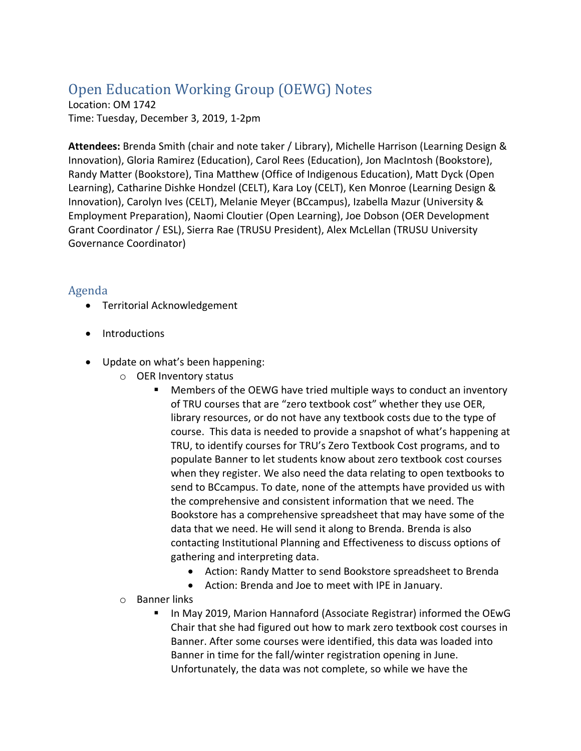## Open Education Working Group (OEWG) Notes

Location: OM 1742 Time: Tuesday, December 3, 2019, 1-2pm

**Attendees:** Brenda Smith (chair and note taker / Library), Michelle Harrison (Learning Design & Innovation), Gloria Ramirez (Education), Carol Rees (Education), Jon MacIntosh (Bookstore), Randy Matter (Bookstore), Tina Matthew (Office of Indigenous Education), Matt Dyck (Open Learning), Catharine Dishke Hondzel (CELT), Kara Loy (CELT), Ken Monroe (Learning Design & Innovation), Carolyn Ives (CELT), Melanie Meyer (BCcampus), Izabella Mazur (University & Employment Preparation), Naomi Cloutier (Open Learning), Joe Dobson (OER Development Grant Coordinator / ESL), Sierra Rae (TRUSU President), Alex McLellan (TRUSU University Governance Coordinator)

## Agenda

- Territorial Acknowledgement
- Introductions
- Update on what's been happening:
	- o OER Inventory status
		- Members of the OEWG have tried multiple ways to conduct an inventory of TRU courses that are "zero textbook cost" whether they use OER, library resources, or do not have any textbook costs due to the type of course. This data is needed to provide a snapshot of what's happening at TRU, to identify courses for TRU's Zero Textbook Cost programs, and to populate Banner to let students know about zero textbook cost courses when they register. We also need the data relating to open textbooks to send to BCcampus. To date, none of the attempts have provided us with the comprehensive and consistent information that we need. The Bookstore has a comprehensive spreadsheet that may have some of the data that we need. He will send it along to Brenda. Brenda is also contacting Institutional Planning and Effectiveness to discuss options of gathering and interpreting data.
			- Action: Randy Matter to send Bookstore spreadsheet to Brenda
			- Action: Brenda and Joe to meet with IPE in January.
	- o Banner links
		- In May 2019, Marion Hannaford (Associate Registrar) informed the OEwG Chair that she had figured out how to mark zero textbook cost courses in Banner. After some courses were identified, this data was loaded into Banner in time for the fall/winter registration opening in June. Unfortunately, the data was not complete, so while we have the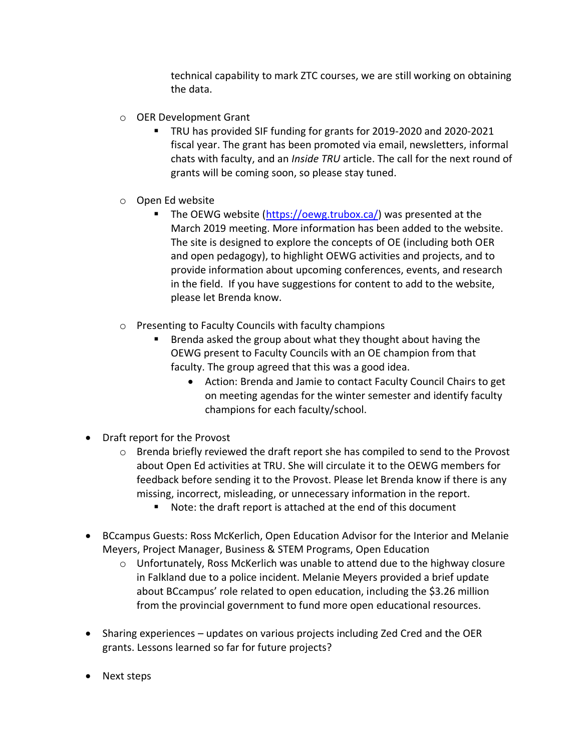technical capability to mark ZTC courses, we are still working on obtaining the data.

- o OER Development Grant
	- TRU has provided SIF funding for grants for 2019-2020 and 2020-2021 fiscal year. The grant has been promoted via email, newsletters, informal chats with faculty, and an *Inside TRU* article. The call for the next round of grants will be coming soon, so please stay tuned.
- o Open Ed website
	- The OEWG website [\(https://oewg.trubox.ca/\)](https://oewg.trubox.ca/) was presented at the March 2019 meeting. More information has been added to the website. The site is designed to explore the concepts of OE (including both OER and open pedagogy), to highlight OEWG activities and projects, and to provide information about upcoming conferences, events, and research in the field. If you have suggestions for content to add to the website, please let Brenda know.
- o Presenting to Faculty Councils with faculty champions
	- Brenda asked the group about what they thought about having the OEWG present to Faculty Councils with an OE champion from that faculty. The group agreed that this was a good idea.
		- Action: Brenda and Jamie to contact Faculty Council Chairs to get on meeting agendas for the winter semester and identify faculty champions for each faculty/school.
- Draft report for the Provost
	- $\circ$  Brenda briefly reviewed the draft report she has compiled to send to the Provost about Open Ed activities at TRU. She will circulate it to the OEWG members for feedback before sending it to the Provost. Please let Brenda know if there is any missing, incorrect, misleading, or unnecessary information in the report.
		- Note: the draft report is attached at the end of this document
- BCcampus Guests: Ross McKerlich, Open Education Advisor for the Interior and Melanie Meyers, Project Manager, Business & STEM Programs, Open Education
	- $\circ$  Unfortunately, Ross McKerlich was unable to attend due to the highway closure in Falkland due to a police incident. Melanie Meyers provided a brief update about BCcampus' role related to open education, including the \$3.26 million from the provincial government to fund more open educational resources.
- Sharing experiences updates on various projects including Zed Cred and the OER grants. Lessons learned so far for future projects?
- Next steps